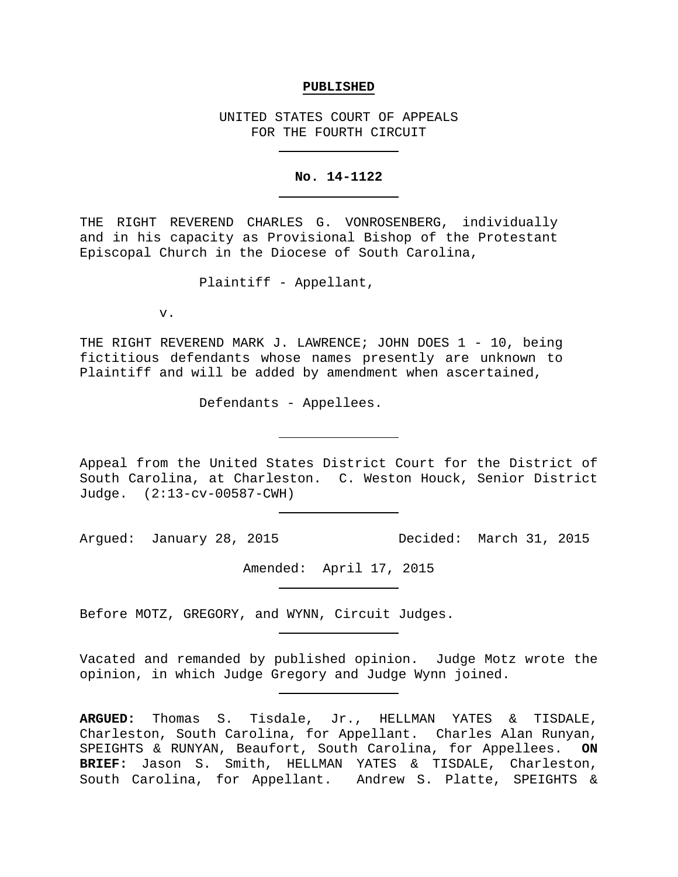## **PUBLISHED**

UNITED STATES COURT OF APPEALS FOR THE FOURTH CIRCUIT

## **No. 14-1122**

THE RIGHT REVEREND CHARLES G. VONROSENBERG, individually and in his capacity as Provisional Bishop of the Protestant Episcopal Church in the Diocese of South Carolina,

Plaintiff - Appellant,

v.

THE RIGHT REVEREND MARK J. LAWRENCE; JOHN DOES 1 - 10, being fictitious defendants whose names presently are unknown to Plaintiff and will be added by amendment when ascertained,

Defendants - Appellees.

Appeal from the United States District Court for the District of South Carolina, at Charleston. C. Weston Houck, Senior District Judge. (2:13-cv-00587-CWH)

Argued: January 28, 2015 Decided: March 31, 2015

Amended: April 17, 2015

Before MOTZ, GREGORY, and WYNN, Circuit Judges.

Vacated and remanded by published opinion. Judge Motz wrote the opinion, in which Judge Gregory and Judge Wynn joined.

**ARGUED:** Thomas S. Tisdale, Jr., HELLMAN YATES & TISDALE, Charleston, South Carolina, for Appellant. Charles Alan Runyan, SPEIGHTS & RUNYAN, Beaufort, South Carolina, for Appellees. **ON BRIEF:** Jason S. Smith, HELLMAN YATES & TISDALE, Charleston, South Carolina, for Appellant. Andrew S. Platte, SPEIGHTS &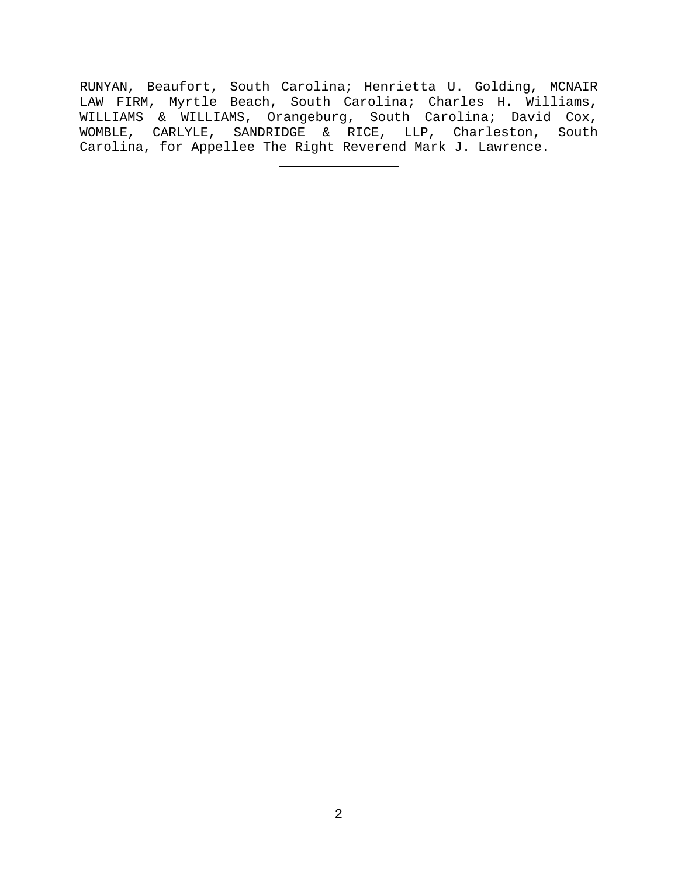RUNYAN, Beaufort, South Carolina; Henrietta U. Golding, MCNAIR LAW FIRM, Myrtle Beach, South Carolina; Charles H. Williams, WILLIAMS & WILLIAMS, Orangeburg, South Carolina; David Cox, WOMBLE, CARLYLE, SANDRIDGE & RICE, LLP, Charleston, South Carolina, for Appellee The Right Reverend Mark J. Lawrence.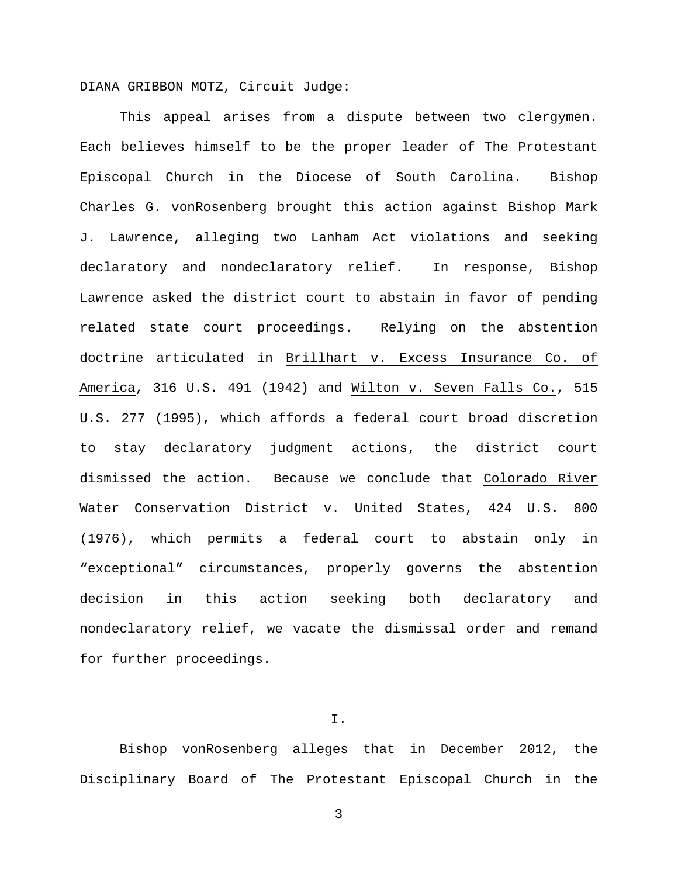DIANA GRIBBON MOTZ, Circuit Judge:

This appeal arises from a dispute between two clergymen. Each believes himself to be the proper leader of The Protestant Episcopal Church in the Diocese of South Carolina. Bishop Charles G. vonRosenberg brought this action against Bishop Mark J. Lawrence, alleging two Lanham Act violations and seeking declaratory and nondeclaratory relief. In response, Bishop Lawrence asked the district court to abstain in favor of pending related state court proceedings. Relying on the abstention doctrine articulated in Brillhart v. Excess Insurance Co. of America, 316 U.S. 491 (1942) and Wilton v. Seven Falls Co., 515 U.S. 277 (1995), which affords a federal court broad discretion to stay declaratory judgment actions, the district court dismissed the action. Because we conclude that Colorado River Water Conservation District v. United States, 424 U.S. 800 (1976), which permits a federal court to abstain only in "exceptional" circumstances, properly governs the abstention decision in this action seeking both declaratory and nondeclaratory relief, we vacate the dismissal order and remand for further proceedings.

I.

Bishop vonRosenberg alleges that in December 2012, the Disciplinary Board of The Protestant Episcopal Church in the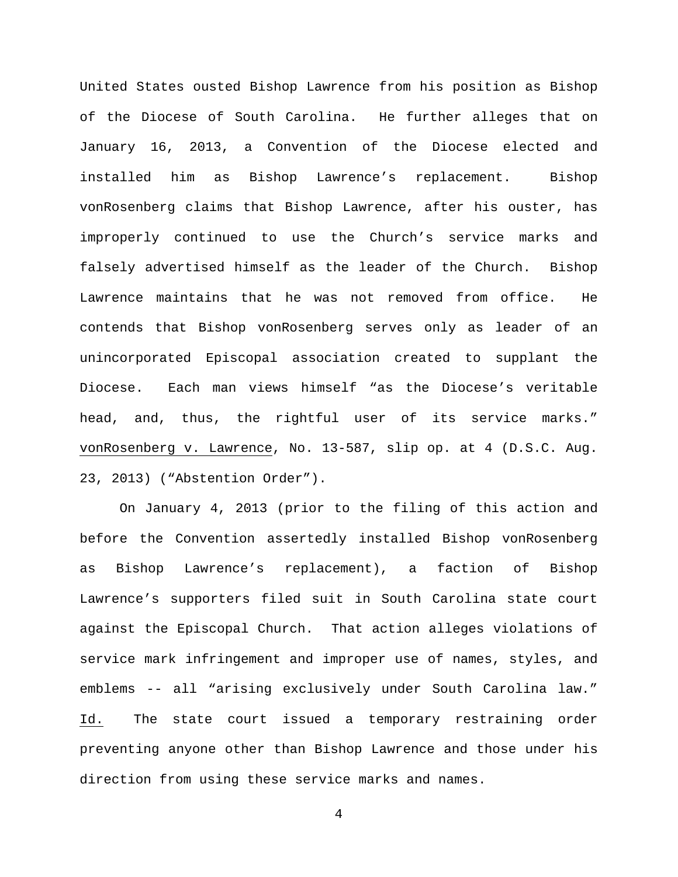United States ousted Bishop Lawrence from his position as Bishop of the Diocese of South Carolina. He further alleges that on January 16, 2013, a Convention of the Diocese elected and installed him as Bishop Lawrence's replacement. Bishop vonRosenberg claims that Bishop Lawrence, after his ouster, has improperly continued to use the Church's service marks and falsely advertised himself as the leader of the Church. Bishop Lawrence maintains that he was not removed from office. He contends that Bishop vonRosenberg serves only as leader of an unincorporated Episcopal association created to supplant the Diocese. Each man views himself "as the Diocese's veritable head, and, thus, the rightful user of its service marks." vonRosenberg v. Lawrence, No. 13-587, slip op. at 4 (D.S.C. Aug. 23, 2013) ("Abstention Order").

On January 4, 2013 (prior to the filing of this action and before the Convention assertedly installed Bishop vonRosenberg as Bishop Lawrence's replacement), a faction of Bishop Lawrence's supporters filed suit in South Carolina state court against the Episcopal Church. That action alleges violations of service mark infringement and improper use of names, styles, and emblems -- all "arising exclusively under South Carolina law." Id. The state court issued a temporary restraining order preventing anyone other than Bishop Lawrence and those under his direction from using these service marks and names.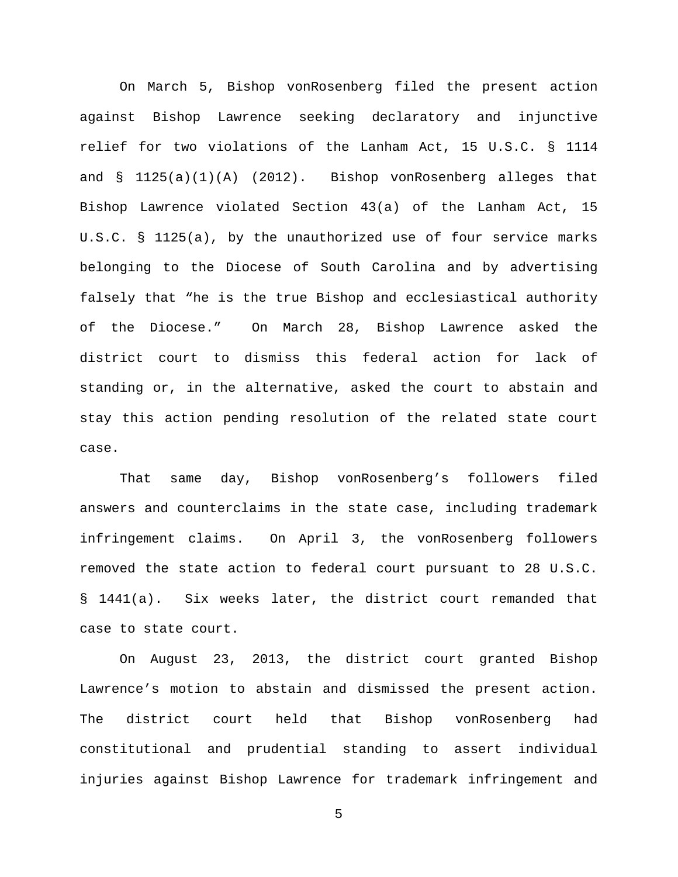On March 5, Bishop vonRosenberg filed the present action against Bishop Lawrence seeking declaratory and injunctive relief for two violations of the Lanham Act, 15 U.S.C. § 1114 and § 1125(a)(1)(A) (2012). Bishop vonRosenberg alleges that Bishop Lawrence violated Section 43(a) of the Lanham Act, 15 U.S.C. § 1125(a), by the unauthorized use of four service marks belonging to the Diocese of South Carolina and by advertising falsely that "he is the true Bishop and ecclesiastical authority of the Diocese." On March 28, Bishop Lawrence asked the district court to dismiss this federal action for lack of standing or, in the alternative, asked the court to abstain and stay this action pending resolution of the related state court case.

That same day, Bishop vonRosenberg's followers filed answers and counterclaims in the state case, including trademark infringement claims. On April 3, the vonRosenberg followers removed the state action to federal court pursuant to 28 U.S.C. § 1441(a). Six weeks later, the district court remanded that case to state court.

On August 23, 2013, the district court granted Bishop Lawrence's motion to abstain and dismissed the present action. The district court held that Bishop vonRosenberg had constitutional and prudential standing to assert individual injuries against Bishop Lawrence for trademark infringement and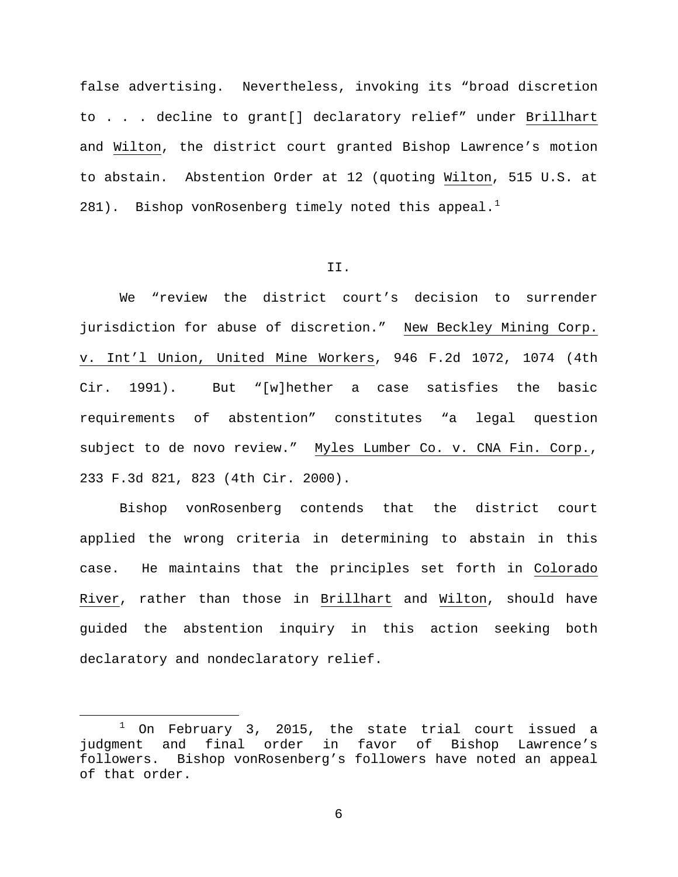false advertising. Nevertheless, invoking its "broad discretion to . . . decline to grant[] declaratory relief" under Brillhart and Wilton, the district court granted Bishop Lawrence's motion to abstain. Abstention Order at 12 (quoting Wilton, 515 U.S. at 28[1](#page-5-0)). Bishop vonRosenberg timely noted this appeal.<sup>1</sup>

## II.

We "review the district court's decision to surrender jurisdiction for abuse of discretion." New Beckley Mining Corp. v. Int'l Union, United Mine Workers, 946 F.2d 1072, 1074 (4th Cir. 1991). But "[w]hether a case satisfies the basic requirements of abstention" constitutes "a legal question subject to de novo review." Myles Lumber Co. v. CNA Fin. Corp., 233 F.3d 821, 823 (4th Cir. 2000).

Bishop vonRosenberg contends that the district court applied the wrong criteria in determining to abstain in this case. He maintains that the principles set forth in Colorado River, rather than those in Brillhart and Wilton, should have guided the abstention inquiry in this action seeking both declaratory and nondeclaratory relief.

<span id="page-5-0"></span> $1$  On February 3, 2015, the state trial court issued a judgment and final order in favor of Bishop Lawrence's<br>followers. Bishop vonRosenberg's followers have noted an appeal Bishop vonRosenberg's followers have noted an appeal of that order.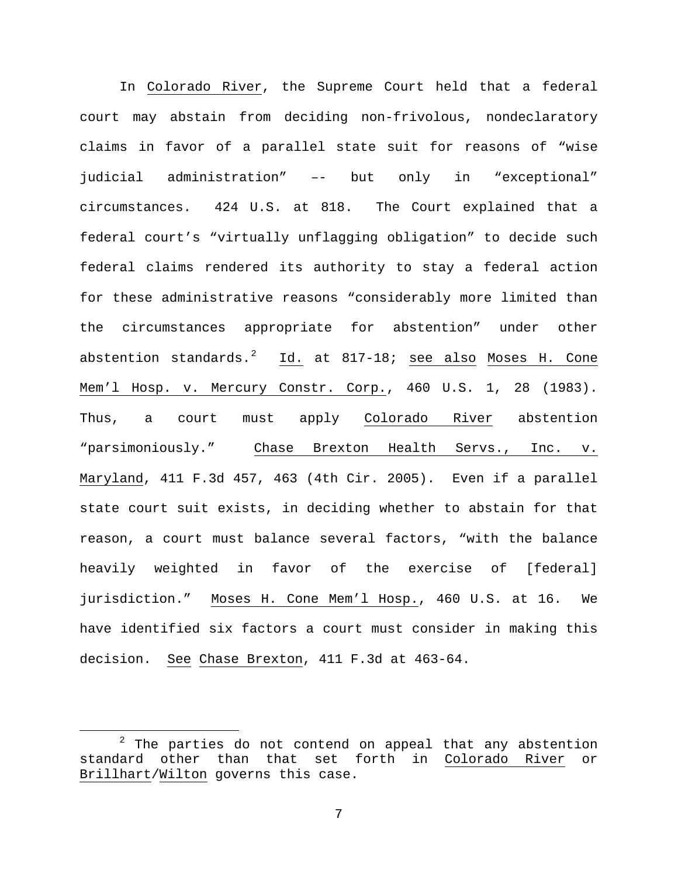In Colorado River, the Supreme Court held that a federal court may abstain from deciding non-frivolous, nondeclaratory claims in favor of a parallel state suit for reasons of "wise judicial administration" –- but only in "exceptional" circumstances. 424 U.S. at 818. The Court explained that a federal court's "virtually unflagging obligation" to decide such federal claims rendered its authority to stay a federal action for these administrative reasons "considerably more limited than the circumstances appropriate for abstention" under other abstention standards.<sup>[2](#page-6-0)</sup> Id. at 817-18; <u>see also</u> Moses H. Cone Mem'l Hosp. v. Mercury Constr. Corp., 460 U.S. 1, 28 (1983). Thus, a court must apply Colorado River abstention "parsimoniously." Chase Brexton Health Servs., Inc. v. Maryland, 411 F.3d 457, 463 (4th Cir. 2005). Even if a parallel state court suit exists, in deciding whether to abstain for that reason, a court must balance several factors, "with the balance heavily weighted in favor of the exercise of [federal] jurisdiction." Moses H. Cone Mem'l Hosp., 460 U.S. at 16. We have identified six factors a court must consider in making this decision. See Chase Brexton, 411 F.3d at 463-64.

<span id="page-6-0"></span> $2$  The parties do not contend on appeal that any abstention standard other than that set forth in Colorado River or Brillhart/Wilton governs this case.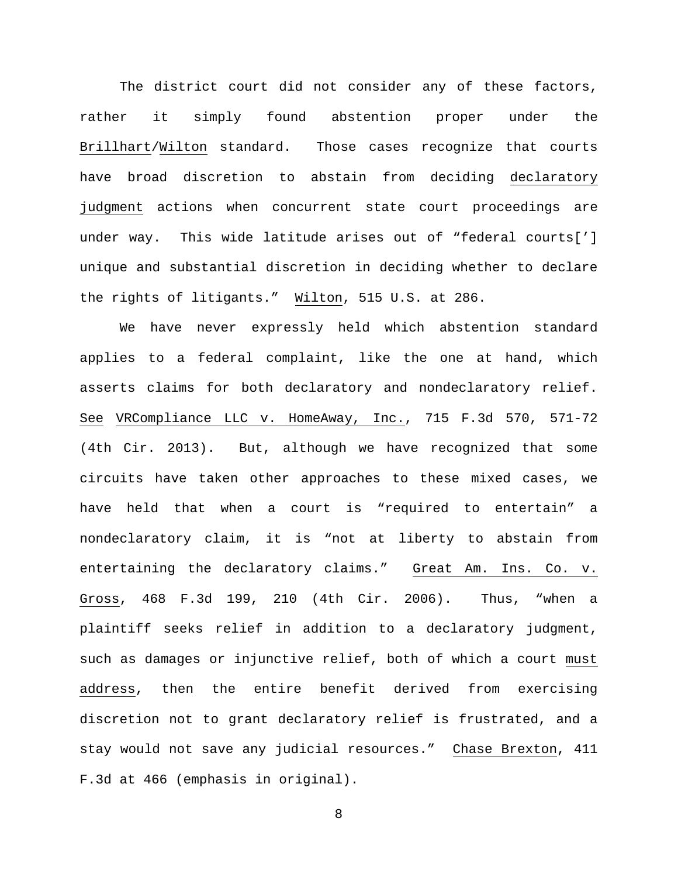The district court did not consider any of these factors, rather it simply found abstention proper under the Brillhart/Wilton standard. Those cases recognize that courts have broad discretion to abstain from deciding declaratory judgment actions when concurrent state court proceedings are under way. This wide latitude arises out of "federal courts['] unique and substantial discretion in deciding whether to declare the rights of litigants." Wilton, 515 U.S. at 286.

We have never expressly held which abstention standard applies to a federal complaint, like the one at hand, which asserts claims for both declaratory and nondeclaratory relief. See VRCompliance LLC v. HomeAway, Inc., 715 F.3d 570, 571-72 (4th Cir. 2013). But, although we have recognized that some circuits have taken other approaches to these mixed cases, we have held that when a court is "required to entertain" a nondeclaratory claim, it is "not at liberty to abstain from entertaining the declaratory claims." Great Am. Ins. Co. v. Gross, 468 F.3d 199, 210 (4th Cir. 2006). Thus, "when a plaintiff seeks relief in addition to a declaratory judgment, such as damages or injunctive relief, both of which a court must address, then the entire benefit derived from exercising discretion not to grant declaratory relief is frustrated, and a stay would not save any judicial resources." Chase Brexton, 411 F.3d at 466 (emphasis in original).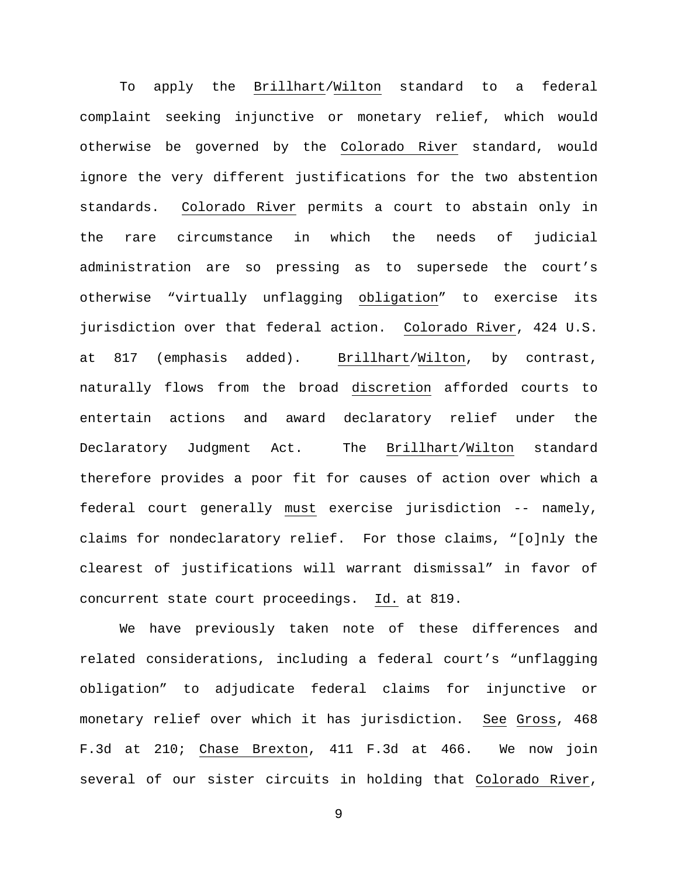To apply the Brillhart/Wilton standard to a federal complaint seeking injunctive or monetary relief, which would otherwise be governed by the Colorado River standard, would ignore the very different justifications for the two abstention standards. Colorado River permits a court to abstain only in the rare circumstance in which the needs of judicial administration are so pressing as to supersede the court's otherwise "virtually unflagging obligation" to exercise its jurisdiction over that federal action. Colorado River, 424 U.S. at 817 (emphasis added). Brillhart/Wilton, by contrast, naturally flows from the broad discretion afforded courts to entertain actions and award declaratory relief under the Declaratory Judgment Act. The Brillhart/Wilton standard therefore provides a poor fit for causes of action over which a federal court generally must exercise jurisdiction -- namely, claims for nondeclaratory relief. For those claims, "[o]nly the clearest of justifications will warrant dismissal" in favor of concurrent state court proceedings. Id. at 819.

We have previously taken note of these differences and related considerations, including a federal court's "unflagging obligation" to adjudicate federal claims for injunctive or monetary relief over which it has jurisdiction. See Gross, 468 F.3d at 210; Chase Brexton, 411 F.3d at 466. We now join several of our sister circuits in holding that Colorado River,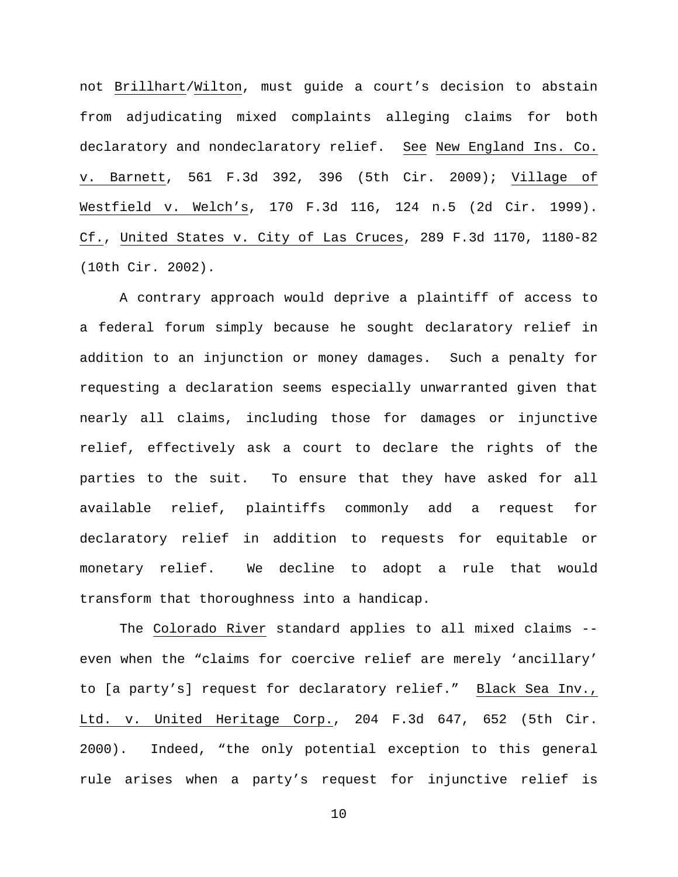not Brillhart/Wilton, must guide a court's decision to abstain from adjudicating mixed complaints alleging claims for both declaratory and nondeclaratory relief. See New England Ins. Co. v. Barnett, 561 F.3d 392, 396 (5th Cir. 2009); Village of Westfield v. Welch's, 170 F.3d 116, 124 n.5 (2d Cir. 1999). Cf., United States v. City of Las Cruces, 289 F.3d 1170, 1180-82 (10th Cir. 2002).

A contrary approach would deprive a plaintiff of access to a federal forum simply because he sought declaratory relief in addition to an injunction or money damages. Such a penalty for requesting a declaration seems especially unwarranted given that nearly all claims, including those for damages or injunctive relief, effectively ask a court to declare the rights of the parties to the suit. To ensure that they have asked for all available relief, plaintiffs commonly add a request for declaratory relief in addition to requests for equitable or monetary relief. We decline to adopt a rule that would transform that thoroughness into a handicap.

The Colorado River standard applies to all mixed claims - even when the "claims for coercive relief are merely 'ancillary' to [a party's] request for declaratory relief." Black Sea Inv., Ltd. v. United Heritage Corp., 204 F.3d 647, 652 (5th Cir. 2000). Indeed, "the only potential exception to this general rule arises when a party's request for injunctive relief is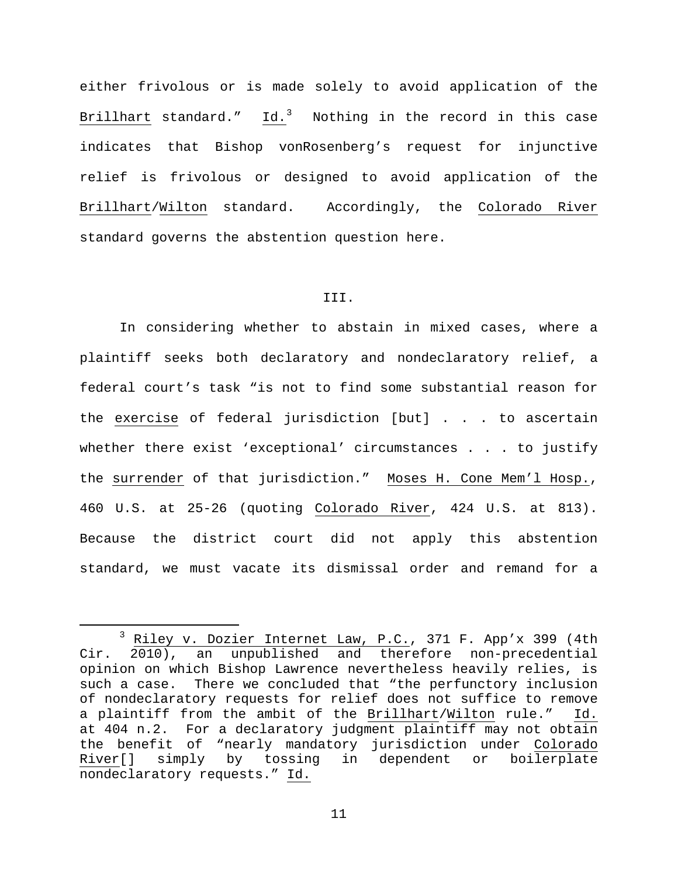either frivolous or is made solely to avoid application of the Brillhart standard." Id.<sup>[3](#page-10-0)</sup> Nothing in the record in this case indicates that Bishop vonRosenberg's request for injunctive relief is frivolous or designed to avoid application of the Brillhart/Wilton standard. Accordingly, the Colorado River standard governs the abstention question here.

## III.

In considering whether to abstain in mixed cases, where a plaintiff seeks both declaratory and nondeclaratory relief, a federal court's task "is not to find some substantial reason for the exercise of federal jurisdiction [but] . . . to ascertain whether there exist 'exceptional' circumstances . . . to justify the surrender of that jurisdiction." Moses H. Cone Mem'l Hosp., 460 U.S. at 25-26 (quoting Colorado River, 424 U.S. at 813). Because the district court did not apply this abstention standard, we must vacate its dismissal order and remand for a

<span id="page-10-0"></span> $\frac{3}{2}$  Riley v. Dozier Internet Law, P.C., 371 F. App'x 399 (4th Cir. 2010), an unpublished and therefore non-precedential an unpublished and therefore non-precedential opinion on which Bishop Lawrence nevertheless heavily relies, is such a case. There we concluded that "the perfunctory inclusion of nondeclaratory requests for relief does not suffice to remove<br>a plaintiff from the ambit of the Brillhart/Wilton rule." Id. a plaintiff from the ambit of the Brillhart/Wilton rule." at 404 n.2. For a declaratory judgment plaintiff may not obtain the benefit of "nearly mandatory jurisdiction under Colorado<br>River[] simply by tossing in dependent or boilerplate simply by tossing in dependent or boilerplate nondeclaratory requests." Id.